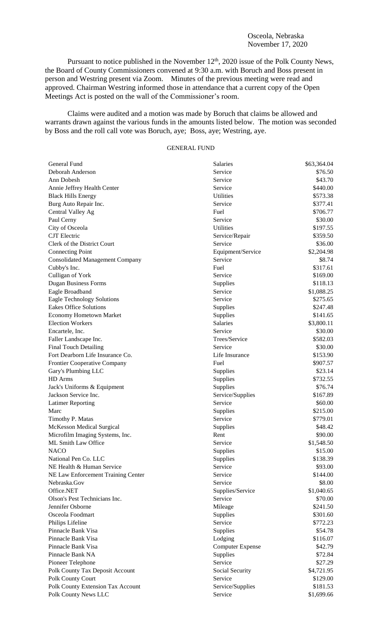### Osceola, Nebraska November 17, 2020

Pursuant to notice published in the November  $12<sup>th</sup>$ , 2020 issue of the Polk County News, the Board of County Commissioners convened at 9:30 a.m. with Boruch and Boss present in person and Westring present via Zoom. Minutes of the previous meeting were read and approved. Chairman Westring informed those in attendance that a current copy of the Open Meetings Act is posted on the wall of the Commissioner's room.

Claims were audited and a motion was made by Boruch that claims be allowed and warrants drawn against the various funds in the amounts listed below. The motion was seconded by Boss and the roll call vote was Boruch, aye; Boss, aye; Westring, aye.

# GENERAL FUND

| General Fund                           | Salaries                | \$63,364.04           |
|----------------------------------------|-------------------------|-----------------------|
| Deborah Anderson                       | Service                 | \$76.50               |
| Ann Dobesh                             | Service                 | \$43.70               |
| Annie Jeffrey Health Center            | Service                 | \$440.00              |
| <b>Black Hills Energy</b>              | Utilities               | \$573.38              |
| Burg Auto Repair Inc.                  | Service                 | \$377.41              |
| Central Valley Ag                      | Fuel                    | \$706.77              |
| Paul Cerny                             | Service                 | \$30.00               |
| City of Osceola                        | <b>Utilities</b>        | \$197.55              |
| <b>CJT</b> Electric                    | Service/Repair          | \$359.50              |
| Clerk of the District Court            | Service                 | \$36.00               |
| <b>Connecting Point</b>                | Equipment/Service       | \$2,204.98            |
| <b>Consolidated Management Company</b> | Service                 | \$8.74                |
| Cubby's Inc.                           | Fuel                    | \$317.61              |
| Culligan of York                       | Service                 | \$169.00              |
| <b>Dugan Business Forms</b>            | Supplies                | \$118.13              |
| Eagle Broadband                        | Service                 | \$1,088.25            |
| <b>Eagle Technology Solutions</b>      | Service                 | \$275.65              |
| <b>Eakes Office Solutions</b>          | Supplies                | \$247.48              |
| <b>Economy Hometown Market</b>         | Supplies                | \$141.65              |
| <b>Election Workers</b>                | <b>Salaries</b>         | \$3,800.11            |
| Encartele, Inc.                        | Service                 | \$30.00               |
| Faller Landscape Inc.                  | Trees/Service           | \$582.03              |
| <b>Final Touch Detailing</b>           | Service                 | \$30.00               |
| Fort Dearborn Life Insurance Co.       | Life Insurance          | \$153.90              |
| Frontier Cooperative Company           | Fuel                    | \$907.57              |
| Gary's Plumbing LLC                    | Supplies                | \$23.14               |
| HD Arms                                | Supplies                | \$732.55              |
| Jack's Uniforms & Equipment            | Supplies                | \$76.74               |
| Jackson Service Inc.                   | Service/Supplies        | \$167.89              |
|                                        | Service                 | \$60.00               |
| <b>Latimer Reporting</b><br>Marc       |                         | \$215.00              |
|                                        | Supplies<br>Service     | \$779.01              |
| Timothy P. Matas                       |                         |                       |
| McKesson Medical Surgical              | Supplies                | \$48.42               |
| Microfilm Imaging Systems, Inc.        | Rent                    | \$90.00<br>\$1,548.50 |
| ML Smith Law Office                    | Service                 |                       |
| <b>NACO</b>                            | Supplies                | \$15.00               |
| National Pen Co. LLC                   | Supplies                | \$138.39              |
| NE Health & Human Service              | Service                 | \$93.00               |
| NE Law Enforcement Training Center     | Service                 | \$144.00              |
| Nebraska.Gov                           | Service                 | \$8.00                |
| Office.NET                             | Supplies/Service        | \$1,040.65            |
| Olson's Pest Technicians Inc.          | Service                 | \$70.00               |
| Jennifer Osborne                       | Mileage                 | \$241.50              |
| Osceola Foodmart                       | Supplies                | \$301.60              |
| Philips Lifeline                       | Service                 | \$772.23              |
| Pinnacle Bank Visa                     | Supplies                | \$54.78               |
| Pinnacle Bank Visa                     | Lodging                 | \$116.07              |
| Pinnacle Bank Visa                     | <b>Computer Expense</b> | \$42.79               |
| Pinnacle Bank NA                       | Supplies                | \$72.84               |
| Pioneer Telephone                      | Service                 | \$27.29               |
| Polk County Tax Deposit Account        | Social Security         | \$4,721.95            |
| Polk County Court                      | Service                 | \$129.00              |
| Polk County Extension Tax Account      | Service/Supplies        | \$181.53              |
| Polk County News LLC                   | Service                 | \$1,699.66            |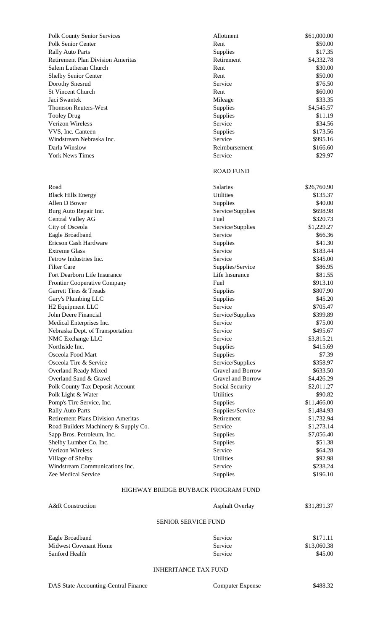| <b>Polk County Senior Services</b>       | Allotment        | \$61,000.00 |
|------------------------------------------|------------------|-------------|
| Polk Senior Center                       | Rent             | \$50.00     |
| <b>Rally Auto Parts</b>                  | <b>Supplies</b>  | \$17.35     |
| <b>Retirement Plan Division Ameritas</b> | Retirement       | \$4,332.78  |
| Salem Lutheran Church                    | Rent             | \$30.00     |
| Shelby Senior Center                     | Rent             | \$50.00     |
| Dorothy Snesrud                          | Service          | \$76.50     |
| <b>St Vincent Church</b>                 | Rent             | \$60.00     |
| Jaci Swantek                             | Mileage          | \$33.35     |
| <b>Thomson Reuters-West</b>              | <b>Supplies</b>  | \$4,545.57  |
| <b>Tooley Drug</b>                       | Supplies         | \$11.19     |
| Verizon Wireless                         | Service          | \$34.56     |
| VVS, Inc. Canteen                        | Supplies         | \$173.56    |
| Windstream Nebraska Inc.                 | Service          | \$995.16    |
| Darla Winslow                            | Reimbursement    | \$166.60    |
| <b>York News Times</b>                   | Service          | \$29.97     |
|                                          | <b>ROAD FUND</b> |             |
| Road                                     | <b>Salaries</b>  | \$26,760.90 |
| <b>Black Hills Energy</b>                | <b>Utilities</b> | \$135.37    |
| Allen D Bower                            | <b>Supplies</b>  | \$40.00     |
| Burg Auto Repair Inc.                    | Service/Supplies | \$698.98    |
| Central Valley AG                        | Fuel             | \$320.73    |

| <b>Polk County Senior Services</b>        | Allotment         | \$61,000.00 |
|-------------------------------------------|-------------------|-------------|
| Polk Senior Center                        | Rent              | \$50.00     |
| <b>Rally Auto Parts</b>                   | Supplies          | \$17.35     |
| <b>Retirement Plan Division Ameritas</b>  | Retirement        | \$4,332.78  |
| Salem Lutheran Church                     | Rent              | \$30.00     |
| <b>Shelby Senior Center</b>               | Rent              | \$50.00     |
| Dorothy Snesrud                           | Service           | \$76.50     |
| <b>St Vincent Church</b>                  | Rent              | \$60.00     |
| Jaci Swantek                              | Mileage           | \$33.35     |
| <b>Thomson Reuters-West</b>               | Supplies          | \$4,545.57  |
| <b>Tooley Drug</b>                        | Supplies          | \$11.19     |
| Verizon Wireless                          | Service           | \$34.56     |
| VVS, Inc. Canteen                         | Supplies          | \$173.56    |
| Windstream Nebraska Inc.                  | Service           | \$995.16    |
| Darla Winslow                             | Reimbursement     | \$166.60    |
| <b>York News Times</b>                    | Service           | \$29.97     |
|                                           | <b>ROAD FUND</b>  |             |
| Road                                      | Salaries          | \$26,760.90 |
| <b>Black Hills Energy</b>                 | <b>Utilities</b>  | \$135.37    |
| Allen D Bower                             | Supplies          | \$40.00     |
| Burg Auto Repair Inc.                     | Service/Supplies  | \$698.98    |
| <b>Central Valley AG</b>                  | Fuel              | \$320.73    |
| City of Osceola                           | Service/Supplies  | \$1,229.27  |
| Eagle Broadband                           | Service           | \$66.36     |
| <b>Ericson Cash Hardware</b>              | Supplies          | \$41.30     |
| <b>Extreme Glass</b>                      | Service           | \$183.44    |
| Fetrow Industries Inc.                    | Service           | \$345.00    |
| <b>Filter Care</b>                        | Supplies/Service  | \$86.95     |
| Fort Dearborn Life Insurance              | Life Insurance    | \$81.55     |
| <b>Frontier Cooperative Company</b>       | Fuel              | \$913.10    |
| <b>Garrett Tires &amp; Treads</b>         | Supplies          | \$807.90    |
| Gary's Plumbing LLC                       | Supplies          | \$45.20     |
| H <sub>2</sub> Equipment LLC              | Service           | \$705.47    |
| John Deere Financial                      | Service/Supplies  | \$399.89    |
| Medical Enterprises Inc.                  | Service           | \$75.00     |
| Nebraska Dept. of Transportation          | Service           | \$495.67    |
| NMC Exchange LLC                          | Service           | \$3,815.21  |
| Northside Inc.                            | Supplies          | \$415.69    |
| Osceola Food Mart                         | Supplies          | \$7.39      |
| Osceola Tire & Service                    | Service/Supplies  | \$358.97    |
| <b>Overland Ready Mixed</b>               | Gravel and Borrow | \$633.50    |
| Overland Sand & Gravel                    | Gravel and Borrow | \$4,426.29  |
| <b>Polk County Tax Deposit Account</b>    | Social Security   | \$2,011.27  |
| Polk Light & Water                        | <b>Utilities</b>  | \$90.82     |
| Pomp's Tire Service, Inc.                 | Supplies          | \$11,466.00 |
| <b>Rally Auto Parts</b>                   | Supplies/Service  | \$1,484.93  |
| <b>Retirement Plans Division Ameritas</b> | Retirement        | \$1,732.94  |
| Road Builders Machinery & Supply Co.      | Service           | \$1,273.14  |
| Sapp Bros. Petroleum, Inc.                | Supplies          | \$7,056.40  |
| Shelby Lumber Co. Inc.                    | Supplies          | \$51.38     |
| Verizon Wireless                          | Service           | \$64.28     |
| Village of Shelby                         | Utilities         | \$92.98     |
| Windstream Communications Inc.            | Service           | \$238.24    |
| Zee Medical Service                       | Supplies          | \$196.10    |
|                                           |                   |             |

## HIGHWAY BRIDGE BUYBACK PROGRAM FUND

| A&R Construction             | <b>Asphalt Overlay</b> | \$31,891.37 |  |  |
|------------------------------|------------------------|-------------|--|--|
| <b>SENIOR SERVICE FUND</b>   |                        |             |  |  |
| Eagle Broadband              | Service                | \$171.11    |  |  |
| <b>Midwest Covenant Home</b> | Service                | \$13,060.38 |  |  |

#### INHERITANCE TAX FUND

Sanford Health Service \$45.00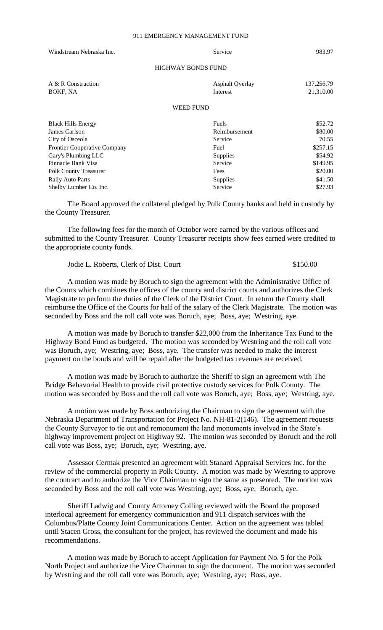| Windstream Nebraska Inc.            | Service                   | 983.97     |
|-------------------------------------|---------------------------|------------|
|                                     | <b>HIGHWAY BONDS FUND</b> |            |
| A & R Construction                  | <b>Asphalt Overlay</b>    | 137,256.79 |
| BOKF, NA                            | Interest                  | 21,310.00  |
|                                     | <b>WEED FUND</b>          |            |
| <b>Black Hills Energy</b>           | Fuels                     | \$52.72    |
| James Carlson                       | Reimbursement             | \$80.00    |
| City of Osceola                     | Service                   | 70.55      |
| <b>Frontier Cooperative Company</b> | Fuel                      | \$257.15   |
| Gary's Plumbing LLC                 | Supplies                  | \$54.92    |

The Board approved the collateral pledged by Polk County banks and held in custody by the County Treasurer.

Pinnacle Bank Visa **Service** \$149.95 Polk County Treasurer **Fees** \$20.00 Rally Auto Parts 541.50 Shelby Lumber Co. Inc. Service \$27.93

The following fees for the month of October were earned by the various offices and submitted to the County Treasurer. County Treasurer receipts show fees earned were credited to the appropriate county funds.

Jodie L. Roberts, Clerk of Dist. Court \$150.00

A motion was made by Boruch to sign the agreement with the Administrative Office of the Courts which combines the offices of the county and district courts and authorizes the Clerk Magistrate to perform the duties of the Clerk of the District Court. In return the County shall reimburse the Office of the Courts for half of the salary of the Clerk Magistrate. The motion was seconded by Boss and the roll call vote was Boruch, aye; Boss, aye; Westring, aye.

A motion was made by Boruch to transfer \$22,000 from the Inheritance Tax Fund to the Highway Bond Fund as budgeted. The motion was seconded by Westring and the roll call vote was Boruch, aye; Westring, aye; Boss, aye. The transfer was needed to make the interest payment on the bonds and will be repaid after the budgeted tax revenues are received.

A motion was made by Boruch to authorize the Sheriff to sign an agreement with The Bridge Behavorial Health to provide civil protective custody services for Polk County. The motion was seconded by Boss and the roll call vote was Boruch, aye; Boss, aye; Westring, aye.

A motion was made by Boss authorizing the Chairman to sign the agreement with the Nebraska Department of Transportation for Project No. NH-81-2(146). The agreement requests the County Surveyor to tie out and remonument the land monuments involved in the State's highway improvement project on Highway 92. The motion was seconded by Boruch and the roll call vote was Boss, aye; Boruch, aye; Westring, aye.

Assessor Cermak presented an agreement with Stanard Appraisal Services Inc. for the review of the commercial property in Polk County. A motion was made by Westring to approve the contract and to authorize the Vice Chairman to sign the same as presented. The motion was seconded by Boss and the roll call vote was Westring, aye; Boss, aye; Boruch, aye.

Sheriff Ladwig and County Attorney Colling reviewed with the Board the proposed interlocal agreement for emergency communication and 911 dispatch services with the Columbus/Platte County Joint Communications Center. Action on the agreement was tabled until Stacen Gross, the consultant for the project, has reviewed the document and made his recommendations.

A motion was made by Boruch to accept Application for Payment No. 5 for the Polk North Project and authorize the Vice Chairman to sign the document. The motion was seconded by Westring and the roll call vote was Boruch, aye; Westring, aye; Boss, aye.